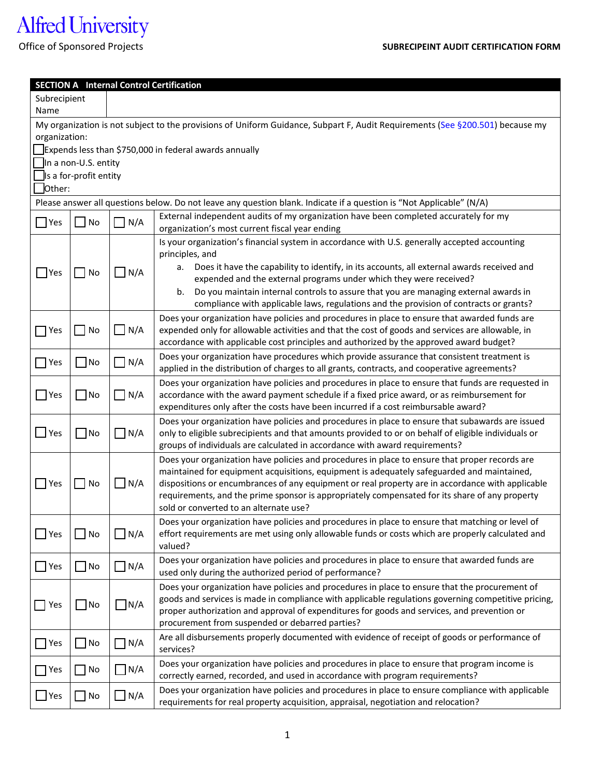## Alfred University

| <b>SECTION A</b> Internal Control Certification                                                                                                                                                              |                             |               |                                                                                                                                                                                                                                                                                                                                                                                                                                              |  |  |  |  |  |  |
|--------------------------------------------------------------------------------------------------------------------------------------------------------------------------------------------------------------|-----------------------------|---------------|----------------------------------------------------------------------------------------------------------------------------------------------------------------------------------------------------------------------------------------------------------------------------------------------------------------------------------------------------------------------------------------------------------------------------------------------|--|--|--|--|--|--|
| Subrecipient                                                                                                                                                                                                 |                             |               |                                                                                                                                                                                                                                                                                                                                                                                                                                              |  |  |  |  |  |  |
|                                                                                                                                                                                                              | Name                        |               |                                                                                                                                                                                                                                                                                                                                                                                                                                              |  |  |  |  |  |  |
| My organization is not subject to the provisions of Uniform Guidance, Subpart F, Audit Requirements (See §200.501) because my                                                                                |                             |               |                                                                                                                                                                                                                                                                                                                                                                                                                                              |  |  |  |  |  |  |
| organization:                                                                                                                                                                                                |                             |               |                                                                                                                                                                                                                                                                                                                                                                                                                                              |  |  |  |  |  |  |
| Expends less than \$750,000 in federal awards annually                                                                                                                                                       |                             |               |                                                                                                                                                                                                                                                                                                                                                                                                                                              |  |  |  |  |  |  |
| In a non-U.S. entity                                                                                                                                                                                         |                             |               |                                                                                                                                                                                                                                                                                                                                                                                                                                              |  |  |  |  |  |  |
| Is a for-profit entity                                                                                                                                                                                       |                             |               |                                                                                                                                                                                                                                                                                                                                                                                                                                              |  |  |  |  |  |  |
| lOther:                                                                                                                                                                                                      |                             |               |                                                                                                                                                                                                                                                                                                                                                                                                                                              |  |  |  |  |  |  |
| Please answer all questions below. Do not leave any question blank. Indicate if a question is "Not Applicable" (N/A)<br>External independent audits of my organization have been completed accurately for my |                             |               |                                                                                                                                                                                                                                                                                                                                                                                                                                              |  |  |  |  |  |  |
| $\blacksquare$ Yes                                                                                                                                                                                           | $\blacksquare$ No           | $\Box$ N/A    | organization's most current fiscal year ending                                                                                                                                                                                                                                                                                                                                                                                               |  |  |  |  |  |  |
| $\Box$ Yes                                                                                                                                                                                                   | $\overline{\phantom{a}}$ No | $\Box$ N/A    | Is your organization's financial system in accordance with U.S. generally accepted accounting<br>principles, and                                                                                                                                                                                                                                                                                                                             |  |  |  |  |  |  |
|                                                                                                                                                                                                              |                             |               | Does it have the capability to identify, in its accounts, all external awards received and<br>а.<br>expended and the external programs under which they were received?                                                                                                                                                                                                                                                                       |  |  |  |  |  |  |
|                                                                                                                                                                                                              |                             |               | b. Do you maintain internal controls to assure that you are managing external awards in<br>compliance with applicable laws, regulations and the provision of contracts or grants?                                                                                                                                                                                                                                                            |  |  |  |  |  |  |
| ∣ Yes                                                                                                                                                                                                        | $ $ No                      | $\Box$ N/A    | Does your organization have policies and procedures in place to ensure that awarded funds are<br>expended only for allowable activities and that the cost of goods and services are allowable, in<br>accordance with applicable cost principles and authorized by the approved award budget?                                                                                                                                                 |  |  |  |  |  |  |
|                                                                                                                                                                                                              | $\Box$ No                   | $\exists$ N/A | Does your organization have procedures which provide assurance that consistent treatment is                                                                                                                                                                                                                                                                                                                                                  |  |  |  |  |  |  |
| Nes                                                                                                                                                                                                          |                             |               | applied in the distribution of charges to all grants, contracts, and cooperative agreements?                                                                                                                                                                                                                                                                                                                                                 |  |  |  |  |  |  |
| $\Box$ Yes                                                                                                                                                                                                   | $\Box$ No                   | $\n  N/A$     | Does your organization have policies and procedures in place to ensure that funds are requested in<br>accordance with the award payment schedule if a fixed price award, or as reimbursement for<br>expenditures only after the costs have been incurred if a cost reimbursable award?                                                                                                                                                       |  |  |  |  |  |  |
| $\bigsqcup$ Yes                                                                                                                                                                                              | $\Box$ No                   | $\Box$ N/A    | Does your organization have policies and procedures in place to ensure that subawards are issued<br>only to eligible subrecipients and that amounts provided to or on behalf of eligible individuals or<br>groups of individuals are calculated in accordance with award requirements?                                                                                                                                                       |  |  |  |  |  |  |
| $\Box$ Yes                                                                                                                                                                                                   | $\overline{\phantom{a}}$ No | N/A           | Does your organization have policies and procedures in place to ensure that proper records are<br>maintained for equipment acquisitions, equipment is adequately safeguarded and maintained,<br>dispositions or encumbrances of any equipment or real property are in accordance with applicable<br>requirements, and the prime sponsor is appropriately compensated for its share of any property<br>sold or converted to an alternate use? |  |  |  |  |  |  |
| $\Box$ Yes                                                                                                                                                                                                   | $\vert$ No                  | $\Box$ N/A    | Does your organization have policies and procedures in place to ensure that matching or level of<br>effort requirements are met using only allowable funds or costs which are properly calculated and<br>valued?                                                                                                                                                                                                                             |  |  |  |  |  |  |
| $\Box$ Yes                                                                                                                                                                                                   | $\exists$ No                | $\Box$ N/A    | Does your organization have policies and procedures in place to ensure that awarded funds are<br>used only during the authorized period of performance?                                                                                                                                                                                                                                                                                      |  |  |  |  |  |  |
| Yes                                                                                                                                                                                                          | $\Box$ No                   | $\Box$ N/A    | Does your organization have policies and procedures in place to ensure that the procurement of<br>goods and services is made in compliance with applicable regulations governing competitive pricing,<br>proper authorization and approval of expenditures for goods and services, and prevention or<br>procurement from suspended or debarred parties?                                                                                      |  |  |  |  |  |  |
| $\Box$ Yes                                                                                                                                                                                                   | $\Box$ No                   | $\Box$ N/A    | Are all disbursements properly documented with evidence of receipt of goods or performance of<br>services?                                                                                                                                                                                                                                                                                                                                   |  |  |  |  |  |  |
| Yes                                                                                                                                                                                                          | $\Box$ No                   | $\Box$ N/A    | Does your organization have policies and procedures in place to ensure that program income is<br>correctly earned, recorded, and used in accordance with program requirements?                                                                                                                                                                                                                                                               |  |  |  |  |  |  |
| $\Box$ Yes                                                                                                                                                                                                   | $\Box$ No                   | $\Box$ N/A    | Does your organization have policies and procedures in place to ensure compliance with applicable<br>requirements for real property acquisition, appraisal, negotiation and relocation?                                                                                                                                                                                                                                                      |  |  |  |  |  |  |